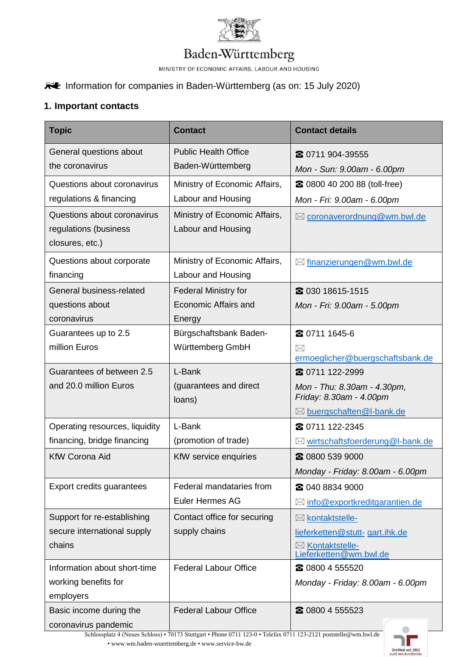

# Baden-Württemberg

MINISTRY OF ECONOMIC AFFAIRS, LABOUR AND HOUSING

# Information for companies in Baden-Württemberg (as on: 15 July 2020)

### **1. Important contacts**

| <b>Topic</b>                                                            | <b>Contact</b>                                                                       | <b>Contact details</b>                                                                                 |
|-------------------------------------------------------------------------|--------------------------------------------------------------------------------------|--------------------------------------------------------------------------------------------------------|
| General questions about<br>the coronavirus                              | <b>Public Health Office</b><br>Baden-Württemberg                                     | 2 0711 904-39555<br>Mon - Sun: 9.00am - 6.00pm                                                         |
| Questions about coronavirus<br>regulations & financing                  | Ministry of Economic Affairs,<br>Labour and Housing                                  | 20 0800 40 200 88 (toll-free)<br>Mon - Fri: 9.00am - 6.00pm                                            |
| Questions about coronavirus<br>regulations (business<br>closures, etc.) | Ministry of Economic Affairs,<br>Labour and Housing                                  | ⊠ coronaverordnung@wm.bwl.de                                                                           |
| Questions about corporate<br>financing                                  | Ministry of Economic Affairs,<br>Labour and Housing                                  | $\boxtimes$ finanzierungen@wm.bwl.de                                                                   |
| General business-related<br>questions about<br>coronavirus              | <b>Federal Ministry for</b><br>Economic Affairs and<br>Energy                        | 2 030 18615-1515<br>Mon - Fri: 9.00am - 5.00pm                                                         |
| Guarantees up to 2.5<br>million Euros                                   | Bürgschaftsbank Baden-<br>Württemberg GmbH                                           | 2 0711 1645-6<br>$\boxtimes$<br>ermoeglicher@buergschaftsbank.de                                       |
| Guarantees of between 2.5<br>and 20.0 million Euros                     | L-Bank<br>(guarantees and direct<br>loans)                                           | 2 0711 122-2999<br>Mon - Thu: 8.30am - 4.30pm,<br>Friday: 8.30am - 4.00pm<br>⊠ buergschaften@I-bank.de |
| Operating resources, liquidity<br>financing, bridge financing           | L-Bank<br>(promotion of trade)                                                       | 2 0711 122-2345<br>⊠ wirtschaftsfoerderung@I-bank.de                                                   |
| <b>KfW Corona Aid</b>                                                   | KfW service enquiries                                                                | 2 0800 539 9000<br>Monday - Friday: 8.00am - 6.00pm                                                    |
| Export credits guarantees                                               | Federal mandataries from<br><b>Euler Hermes AG</b>                                   | <b>2040 8834 9000</b><br>$\boxtimes$ info@exportkreditgarantien.de                                     |
| Support for re-establishing<br>secure international supply<br>chains    | Contact office for securing<br>supply chains                                         | ⊠ kontaktstelle-<br>lieferketten@stutt-gart.ihk.de<br>⊠ Kontaktstelle-<br>Lieferketten@wm.bwl.de       |
| Information about short-time<br>working benefits for<br>employers       | <b>Federal Labour Office</b>                                                         | 2 0800 4 555520<br>Monday - Friday: 8.00am - 6.00pm                                                    |
| Basic income during the<br>coronavirus pandemic                         | <b>Federal Labour Office</b><br>$m_{\text{tot}}$ , Dhong 0711 1920, Talefor 0711 192 | 2 0800 4 555523                                                                                        |

Schlossplatz 4 (Neues Schloss) • 70173 Stuttgart • Phone 0711 123-0 • Telefax 0711 123-2121 [poststelle@wm.bwl.de](mailto:poststelle@wm.bwl.de)  • [www.wm.baden-wuerttemberg.de •](http://www.wm.baden-wuerttemberg.de/) [www.service-bw.de](http://www.service-bw.de/)

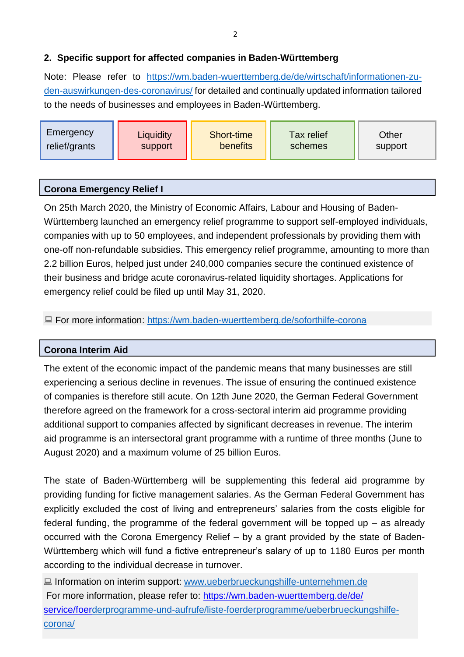# **2. Specific support for affected companies in Baden-Württemberg**

Note: Please refer to https://wm.baden-wuerttemberg.de/de/wirtschaft/informationen-zuden-au[swirkungen-des-coronavirus/](https://wm.baden-wuerttemberg.de/de/wirtschaft/informationen-zu-den-auswirkungen-des-coronavirus/) for detailed and continually updated information tailored to the needs of businesses and employees in Baden-Württemberg.

| Emergency<br>Liquidity<br>relief/grants<br>support | Short-time<br>benefits | <b>Tax relief</b><br>schemes | Other<br>support |
|----------------------------------------------------|------------------------|------------------------------|------------------|
|----------------------------------------------------|------------------------|------------------------------|------------------|

| <b>Corona Emergency Relief I</b> |  |
|----------------------------------|--|
|----------------------------------|--|

On 25th March 2020, the Ministry of Economic Affairs, Labour and Housing of Baden-Württemberg launched an emergency relief programme to support self-employed individuals, companies with up to 50 employees, and independent professionals by providing them with one-off non-refundable subsidies. This emergency relief programme, amounting to more than 2.2 billion Euros, helped just under 240,000 companies secure the continued existence of their business and bridge acute coronavirus-related liquidity shortages. Applications for emergency relief could be filed up until May 31, 2020.

■ For more information:<https://wm.baden-wuerttemberg.de/soforthilfe-corona>

#### **Corona Interim Aid**

The extent of the economic impact of the pandemic means that many businesses are still experiencing a serious decline in revenues. The issue of ensuring the continued existence of companies is therefore still acute. On 12th June 2020, the German Federal Government therefore agreed on the framework for a cross-sectoral interim aid programme providing additional support to companies affected by significant decreases in revenue. The interim aid programme is an intersectoral grant programme with a runtime of three months (June to August 2020) and a maximum volume of 25 billion Euros.

The state of Baden-Württemberg will be supplementing this federal aid programme by providing funding for fictive management salaries. As the German Federal Government has explicitly excluded the cost of living and entrepreneurs' salaries from the costs eligible for federal funding, the programme of the federal government will be topped up  $-$  as already occurred with the Corona Emergency Relief – by a grant provided by the state of Baden-Württemberg which will fund a fictive entrepreneur's salary of up to 1180 Euros per month according to the individual decrease in turnover.

**■** Information on interim support: [www.ueberbrueckungshilfe-unternehmen.de](http://www.ueberbrueckungshilfe-unternehmen.de/) For more information, please refer to: [https://wm.baden-wuerttemberg.de/de/](https://wm.baden-wuerttemberg.de/de/service/foer-) [service/foer](https://wm.baden-wuerttemberg.de/de/service/foer-)[derprogramme-und-aufrufe/liste-foerderprogramme/ueberbrueckungshilfe](https://wm.baden-wuerttemberg.de/de/service/foerderprogramme-und-aufrufe/liste-foerderprogramme/ueberbrueckungshilfe-corona/)[corona/](https://wm.baden-wuerttemberg.de/de/service/foerderprogramme-und-aufrufe/liste-foerderprogramme/ueberbrueckungshilfe-corona/)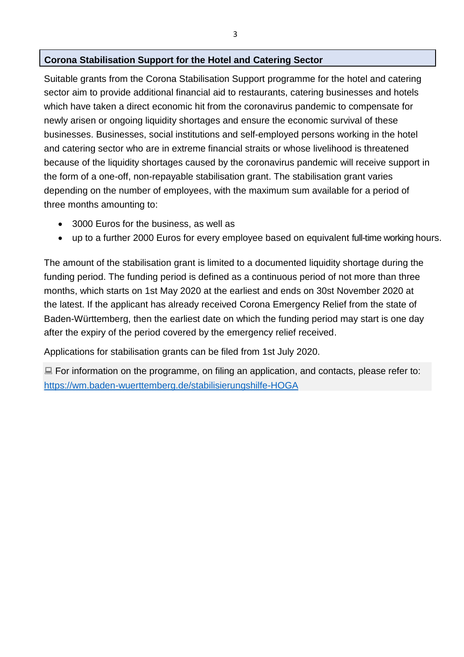#### **Corona Stabilisation Support for the Hotel and Catering Sector**

Suitable grants from the Corona Stabilisation Support programme for the hotel and catering sector aim to provide additional financial aid to restaurants, catering businesses and hotels which have taken a direct economic hit from the coronavirus pandemic to compensate for newly arisen or ongoing liquidity shortages and ensure the economic survival of these businesses. Businesses, social institutions and self-employed persons working in the hotel and catering sector who are in extreme financial straits or whose livelihood is threatened because of the liquidity shortages caused by the coronavirus pandemic will receive support in the form of a one-off, non-repayable stabilisation grant. The stabilisation grant varies depending on the number of employees, with the maximum sum available for a period of three months amounting to:

- 3000 Euros for the business, as well as
- up to a further 2000 Euros for every employee based on equivalent full-time working hours.

The amount of the stabilisation grant is limited to a documented liquidity shortage during the funding period. The funding period is defined as a continuous period of not more than three months, which starts on 1st May 2020 at the earliest and ends on 30st November 2020 at the latest. If the applicant has already received Corona Emergency Relief from the state of Baden-Württemberg, then the earliest date on which the funding period may start is one day after the expiry of the period covered by the emergency relief received.

Applications for stabilisation grants can be filed from 1st July 2020.

 $\Box$  For information on the programme, on filing an application, and contacts, please refer to: <https://wm.baden-wuerttemberg.de/stabilisierungshilfe-HOGA>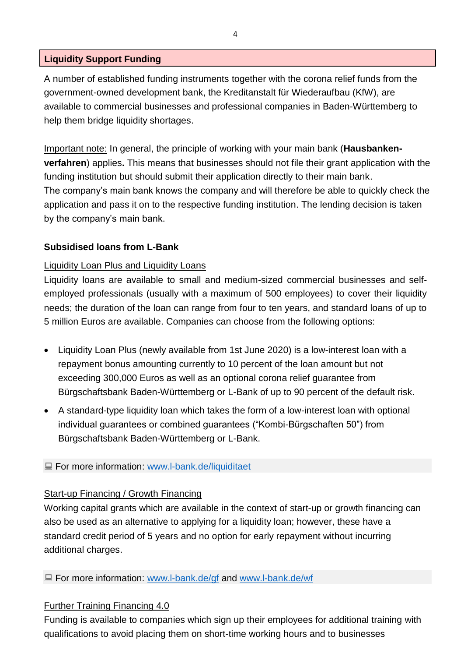## **Liquidity Support Funding**

A number of established funding instruments together with the corona relief funds from the government-owned development bank, the Kreditanstalt für Wiederaufbau (KfW), are available to commercial businesses and professional companies in Baden-Württemberg to help them bridge liquidity shortages.

Important note: In general, the principle of working with your main bank (**Hausbankenverfahren**) applies**.** This means that businesses should not file their grant application with the funding institution but should submit their application directly to their main bank. The company's main bank knows the company and will therefore be able to quickly check the application and pass it on to the respective funding institution. The lending decision is taken by the company's main bank.

# **Subsidised loans from L-Bank**

### Liquidity Loan Plus and Liquidity Loans

Liquidity loans are available to small and medium-sized commercial businesses and selfemployed professionals (usually with a maximum of 500 employees) to cover their liquidity needs; the duration of the loan can range from four to ten years, and standard loans of up to 5 million Euros are available. Companies can choose from the following options:

- Liquidity Loan Plus (newly available from 1st June 2020) is a low-interest loan with a repayment bonus amounting currently to 10 percent of the loan amount but not exceeding 300,000 Euros as well as an optional corona relief guarantee from Bürgschaftsbank Baden-Württemberg or L-Bank of up to 90 percent of the default risk.
- A standard-type liquidity loan which takes the form of a low-interest loan with optional individual guarantees or combined guarantees ("Kombi-Bürgschaften 50") from Bürgschaftsbank Baden-Württemberg or L-Bank.

### ■ For more information: [www.l-bank.de/liquiditaet](http://www.l-bank.de/liquiditaet)

### Start-up Financing / Growth Financing

Working capital grants which are available in the context of start-up or growth financing can also be used as an alternative to applying for a liquidity loan; however, these have a standard credit period of 5 years and no option for early repayment without incurring additional charges.

■ For more information: [www.l-bank.de/gf](http://www.l-bank.de/gf) and [www.l-bank.de/wf](http://www.l-bank.de/wf)

# Further Training Financing 4.0

Funding is available to companies which sign up their employees for additional training with qualifications to avoid placing them on short-time working hours and to businesses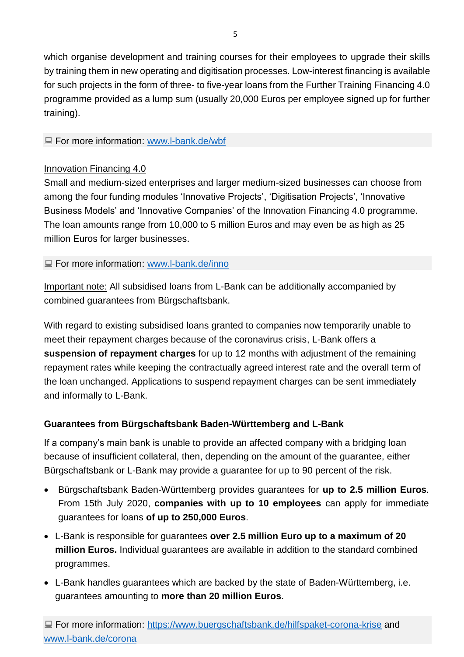which organise development and training courses for their employees to upgrade their skills by training them in new operating and digitisation processes. Low-interest financing is available for such projects in the form of three- to five-year loans from the Further Training Financing 4.0 programme provided as a lump sum (usually 20,000 Euros per employee signed up for further training).

### ■ For more information: [www.l-bank.de/wbf](http://www.l-bank.de/wbf)

# Innovation Financing 4.0

Small and medium-sized enterprises and larger medium-sized businesses can choose from among the four funding modules 'Innovative Projects', 'Digitisation Projects', 'Innovative Business Models' and 'Innovative Companies' of the Innovation Financing 4.0 programme. The loan amounts range from 10,000 to 5 million Euros and may even be as high as 25 million Euros for larger businesses.

■ For more information: [www.l-bank.de/inno](http://www.l-bank.de/inno)

Important note: All subsidised loans from L-Bank can be additionally accompanied by combined guarantees from Bürgschaftsbank.

With regard to existing subsidised loans granted to companies now temporarily unable to meet their repayment charges because of the coronavirus crisis, L-Bank offers a **suspension of repayment charges** for up to 12 months with adjustment of the remaining repayment rates while keeping the contractually agreed interest rate and the overall term of the loan unchanged. Applications to suspend repayment charges can be sent immediately and informally to L-Bank.

# **Guarantees from Bürgschaftsbank Baden-Württemberg and L-Bank**

If a company's main bank is unable to provide an affected company with a bridging loan because of insufficient collateral, then, depending on the amount of the guarantee, either Bürgschaftsbank or L-Bank may provide a guarantee for up to 90 percent of the risk.

- Bürgschaftsbank Baden-Württemberg provides guarantees for **up to 2.5 million Euros**. From 15th July 2020, **companies with up to 10 employees** can apply for immediate guarantees for loans **of up to 250,000 Euros**.
- L-Bank is responsible for guarantees **over 2.5 million Euro up to a maximum of 20 million Euros.** Individual guarantees are available in addition to the standard combined programmes.
- L-Bank handles guarantees which are backed by the state of Baden-Württemberg, i.e. guarantees amounting to **more than 20 million Euros**.

**E** For more information:<https://www.buergschaftsbank.de/hilfspaket-corona-krise> and [www.l-bank.de/corona](http://www.l-bank.de/corona)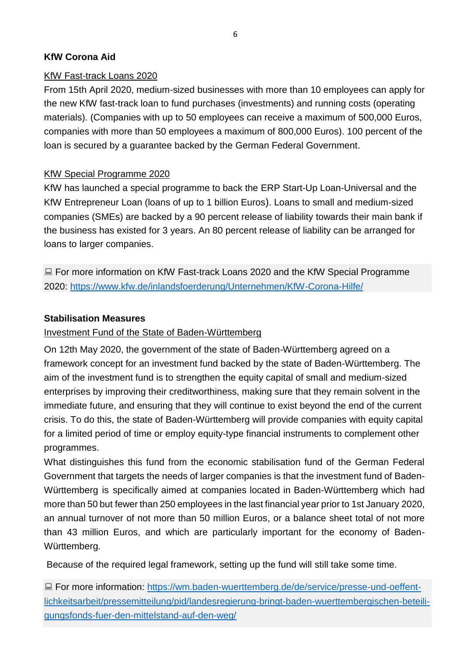# **KfW Corona Aid**

# KfW Fast-track Loans 2020

From 15th April 2020, medium-sized businesses with more than 10 employees can apply for the new KfW fast-track loan to fund purchases (investments) and running costs (operating materials). (Companies with up to 50 employees can receive a maximum of 500,000 Euros, companies with more than 50 employees a maximum of 800,000 Euros). 100 percent of the loan is secured by a guarantee backed by the German Federal Government.

# KfW Special Programme 2020

KfW has launched a special programme to back the ERP Start-Up Loan-Universal and the KfW Entrepreneur Loan (loans of up to 1 billion Euros). Loans to small and medium-sized companies (SMEs) are backed by a 90 percent release of liability towards their main bank if the business has existed for 3 years. An 80 percent release of liability can be arranged for loans to larger companies.

■ For more information on KfW Fast-track Loans 2020 and the KfW Special Programme 2020:<https://www.kfw.de/inlandsfoerderung/Unternehmen/KfW-Corona-Hilfe/>

### **Stabilisation Measures**

### Investment Fund of the State of Baden-Württemberg

On 12th May 2020, the government of the state of Baden-Württemberg agreed on a framework concept for an investment fund backed by the state of Baden-Württemberg. The aim of the investment fund is to strengthen the equity capital of small and medium-sized enterprises by improving their creditworthiness, making sure that they remain solvent in the immediate future, and ensuring that they will continue to exist beyond the end of the current crisis. To do this, the state of Baden-Württemberg will provide companies with equity capital for a limited period of time or employ equity-type financial instruments to complement other programmes.

What distinguishes this fund from the economic stabilisation fund of the German Federal Government that targets the needs of larger companies is that the investment fund of Baden-Württemberg is specifically aimed at companies located in Baden-Württemberg which had more than 50 but fewer than 250 employees in the last financial year prior to 1st January 2020, an annual turnover of not more than 50 million Euros, or a balance sheet total of not more than 43 million Euros, and which are particularly important for the economy of Baden-Württemberg.

Because of the required legal framework, setting up the fund will still take some time.

■ For more information: [https://wm.baden-wuerttemberg.de/de/service/presse-und-oeffent](https://wm.baden-wuerttemberg.de/de/service/presse-und-oeffentlichkeitsarbeit/pressemitteilung/pid/landesregierung-bringt-baden-wuerttembergischen-beteiligungsfonds-fuer-den-mittelstand-auf-den-weg/)[lichkeitsarbeit/pressemitteilung/pid/landesregierung-bringt-baden-wuerttembergischen-beteili](https://wm.baden-wuerttemberg.de/de/service/presse-und-oeffentlichkeitsarbeit/pressemitteilung/pid/landesregierung-bringt-baden-wuerttembergischen-beteiligungsfonds-fuer-den-mittelstand-auf-den-weg/)[gungsfonds-fuer-den-mittelstand-auf-den-weg/](https://wm.baden-wuerttemberg.de/de/service/presse-und-oeffentlichkeitsarbeit/pressemitteilung/pid/landesregierung-bringt-baden-wuerttembergischen-beteiligungsfonds-fuer-den-mittelstand-auf-den-weg/)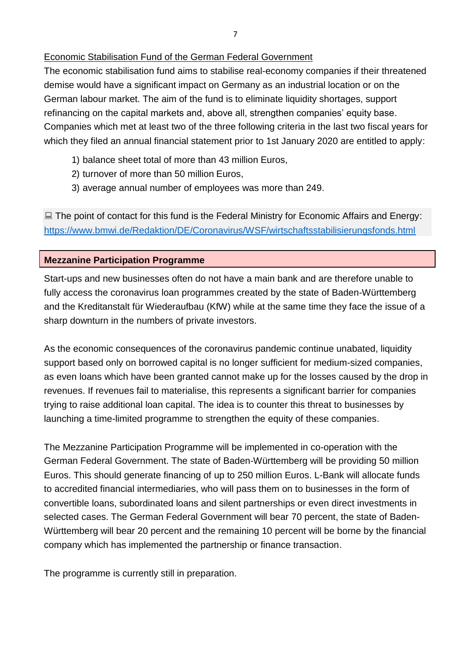# Economic Stabilisation Fund of the German Federal Government

The economic stabilisation fund aims to stabilise real-economy companies if their threatened demise would have a significant impact on Germany as an industrial location or on the German labour market. The aim of the fund is to eliminate liquidity shortages, support refinancing on the capital markets and, above all, strengthen companies' equity base. Companies which met at least two of the three following criteria in the last two fiscal years for which they filed an annual financial statement prior to 1st January 2020 are entitled to apply:

- 1) balance sheet total of more than 43 million Euros,
- 2) turnover of more than 50 million Euros,
- 3) average annual number of employees was more than 249.

■ The point of contact for this fund is the Federal Ministry for Economic Affairs and Energy: <https://www.bmwi.de/Redaktion/DE/Coronavirus/WSF/wirtschaftsstabilisierungsfonds.html>

# **Mezzanine Participation Programme**

Start-ups and new businesses often do not have a main bank and are therefore unable to fully access the coronavirus loan programmes created by the state of Baden-Württemberg and the Kreditanstalt für Wiederaufbau (KfW) while at the same time they face the issue of a sharp downturn in the numbers of private investors.

As the economic consequences of the coronavirus pandemic continue unabated, liquidity support based only on borrowed capital is no longer sufficient for medium-sized companies, as even loans which have been granted cannot make up for the losses caused by the drop in revenues. If revenues fail to materialise, this represents a significant barrier for companies trying to raise additional loan capital. The idea is to counter this threat to businesses by launching a time-limited programme to strengthen the equity of these companies.

The Mezzanine Participation Programme will be implemented in co-operation with the German Federal Government. The state of Baden-Württemberg will be providing 50 million Euros. This should generate financing of up to 250 million Euros. L-Bank will allocate funds to accredited financial intermediaries, who will pass them on to businesses in the form of convertible loans, subordinated loans and silent partnerships or even direct investments in selected cases. The German Federal Government will bear 70 percent, the state of Baden-Württemberg will bear 20 percent and the remaining 10 percent will be borne by the financial company which has implemented the partnership or finance transaction.

The programme is currently still in preparation.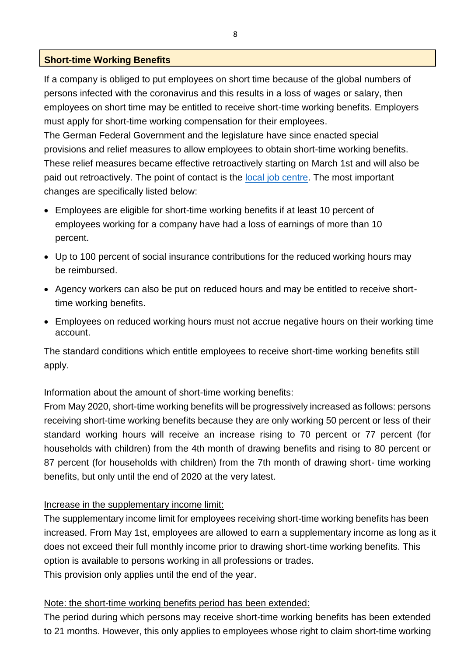#### **Short-time Working Benefits**

If a company is obliged to put employees on short time because of the global numbers of persons infected with the coronavirus and this results in a loss of wages or salary, then employees on short time may be entitled to receive short-time working benefits. Employers must apply for short-time working compensation for their employees.

The German Federal Government and the legislature have since enacted special provisions and relief measures to allow employees to obtain short-time working benefits. These relief measures became effective retroactively starting on March 1st and will also be paid out retroactively. The point of contact is the local job centre. The most important changes are specifically listed below:

- Employees are eligible for short-time working benefits if at least 10 percent of employees working for a company have had a loss of earnings of more than 10 percent.
- Up to 100 percent of social insurance contributions for the reduced working hours may be reimbursed.
- Agency workers can also be put on reduced hours and may be entitled to receive shorttime working benefits.
- Employees on reduced working hours must not accrue negative hours on their working time account.

The standard conditions which entitle employees to receive short-time working benefits still apply.

### Information about the amount of short-time working benefits:

From May 2020, short-time working benefits will be progressively increased as follows: persons receiving short-time working benefits because they are only working 50 percent or less of their standard working hours will receive an increase rising to 70 percent or 77 percent (for households with children) from the 4th month of drawing benefits and rising to 80 percent or 87 percent (for households with children) from the 7th month of drawing short- time working benefits, but only until the end of 2020 at the very latest.

### Increase in the supplementary income limit:

The supplementary income limit for employees receiving short-time working benefits has been increased. From May 1st, employees are allowed to earn a supplementary income as long as it does not exceed their full monthly income prior to drawing short-time working benefits. This option is available to persons working in all professions or trades. This provision only applies until the end of the year.

### Note: the short-time working benefits period has been extended:

The period during which persons may receive short-time working benefits has been extended to 21 months. However, this only applies to employees whose right to claim short-time working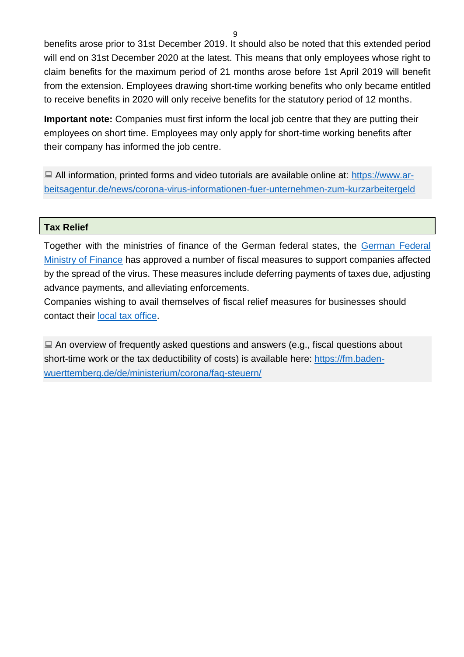benefits arose prior to 31st December 2019. It should also be noted that this extended period will end on 31st December 2020 at the latest. This means that only employees whose right to claim benefits for the maximum period of 21 months arose before 1st April 2019 will benefit from the extension. Employees drawing short-time working benefits who only became entitled to receive benefits in 2020 will only receive benefits for the statutory period of 12 months.

**Important note:** Companies must first inform the local job centre that they are putting their employees on short time. Employees may only apply for short-time working benefits after their company has informed the job centre.

 $\Box$  All information, printed forms and video tutorials are available online at: [https://www.ar](https://www.arbeitsagentur.de/news/corona-virus-informationen-fuer-unternehmen-zum-kurzarbeitergeld)[beitsagentur.de/news/corona-virus-informationen-fuer-unternehmen-zum-kurzarbeitergeld](https://www.arbeitsagentur.de/news/corona-virus-informationen-fuer-unternehmen-zum-kurzarbeitergeld)

#### **Tax Relief**

Together with the ministries of finance of the German federal states, the [German](https://www.bundesfinanzministerium.de/) Federal Ministry of Finance has approved a number of fiscal measures to support companies affected by the spread of the virus. These measures include deferring payments of taxes due, adjusting advance payments, and alleviating enforcements.

Companies wishing to avail themselves of fiscal relief measures for businesses should contact their [local tax office.](https://finanzamt-bw.fv-bwl.de/%2CLde/Startseite/Finanzaemter/Auswahl)

 $\Box$  An overview of frequently asked questions and answers (e.g., fiscal questions about short-time work or the tax deductibility of costs) is available here: https://fm.badenwuertte[mberg.de/de/ministerium/corona/faq-steuern/](https://fm.baden-wuerttemberg.de/de/ministerium/corona/faq-steuern/)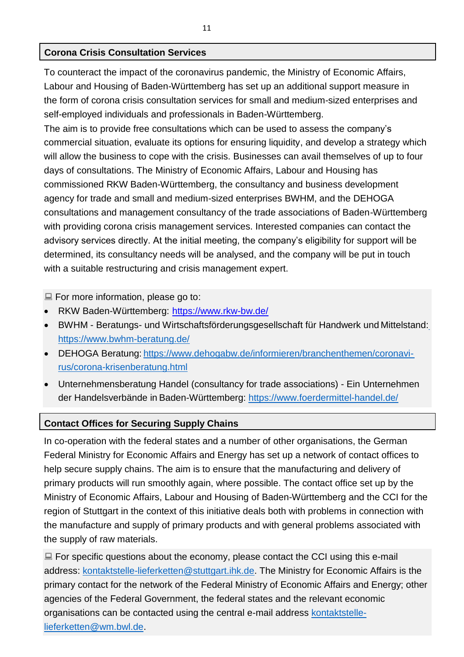# **Corona Crisis Consultation Services**

To counteract the impact of the coronavirus pandemic, the Ministry of Economic Affairs, Labour and Housing of Baden-Württemberg has set up an additional support measure in the form of corona crisis consultation services for small and medium-sized enterprises and self-employed individuals and professionals in Baden-Württemberg.

The aim is to provide free consultations which can be used to assess the company's commercial situation, evaluate its options for ensuring liquidity, and develop a strategy which will allow the business to cope with the crisis. Businesses can avail themselves of up to four days of consultations. The Ministry of Economic Affairs, Labour and Housing has commissioned RKW Baden-Württemberg, the consultancy and business development agency for trade and small and medium-sized enterprises BWHM, and the DEHOGA consultations and management consultancy of the trade associations of Baden-Württemberg with providing corona crisis management services. Interested companies can contact the advisory services directly. At the initial meeting, the company's eligibility for support will be determined, its consultancy needs will be analysed, and the company will be put in touch with a suitable restructuring and crisis management expert.

For more information, please go to:

- RKW Baden-Württemberg: <https://www.rkw-bw.de/>
- BWHM Beratungs- und Wirtschaftsförderungsgesellschaft für Handwerk und Mittelstand[:](https://www.bwhm-beratung.de/) <https://www.bwhm-beratung.de/>
- DEHOGA Beratung: [https://www.dehogabw.de/informieren/branchenthemen/coronavi](https://www.dehogabw.de/informieren/branchenthemen/coronavirus/corona-krisenberatung.html)[rus/corona-krisenberatung.html](https://www.dehogabw.de/informieren/branchenthemen/coronavirus/corona-krisenberatung.html)
- Unternehmensberatung Handel (consultancy for trade associations) Ein Unternehmen der Handelsverbände in Baden-Württemberg:<https://www.foerdermittel-handel.de/>

### **Contact Offices for Securing Supply Chains**

In co-operation with the federal states and a number of other organisations, the German Federal Ministry for Economic Affairs and Energy has set up a network of contact offices to help secure supply chains. The aim is to ensure that the manufacturing and delivery of primary products will run smoothly again, where possible. The contact office set up by the Ministry of Economic Affairs, Labour and Housing of Baden-Württemberg and the CCI for the region of Stuttgart in the context of this initiative deals both with problems in connection with the manufacture and supply of primary products and with general problems associated with the supply of raw materials.

 $\Box$  For specific questions about the economy, please contact the CCI using this e-mail address: [kontaktstelle-lieferketten@stuttgart.ihk.de.](mailto:kontaktstelle-lieferketten@stuttgart.ihk.de) The Ministry for Economic Affairs is the primary contact for the network of the Federal Ministry of Economic Affairs and Energy; other agencies of the Federal Government, the federal states and the relevant economic organisations can be contacted using the central e-mail address [kontaktstelle](mailto:kontaktstelle-lieferketten@wm.bwl.de)[lieferketten@wm.bwl.de.](mailto:kontaktstelle-lieferketten@wm.bwl.de)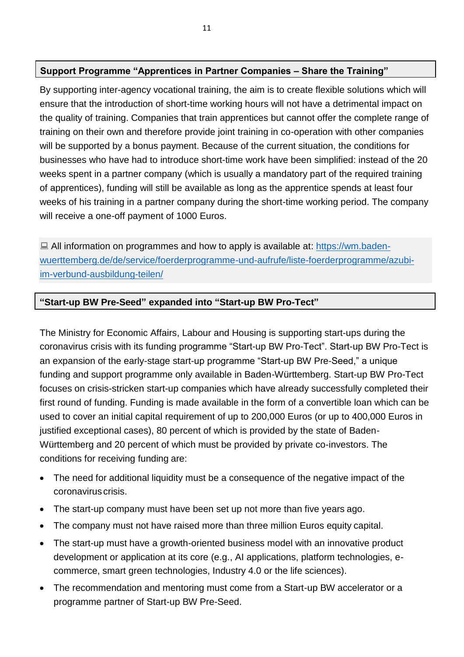# **Support Programme "Apprentices in Partner Companies – Share the Training"**

By supporting inter-agency vocational training, the aim is to create flexible solutions which will ensure that the introduction of short-time working hours will not have a detrimental impact on the quality of training. Companies that train apprentices but cannot offer the complete range of training on their own and therefore provide joint training in co-operation with other companies will be supported by a bonus payment. Because of the current situation, the conditions for businesses who have had to introduce short-time work have been simplified: instead of the 20 weeks spent in a partner company (which is usually a mandatory part of the required training of apprentices), funding will still be available as long as the apprentice spends at least four weeks of his training in a partner company during the short-time working period. The company will receive a one-off payment of 1000 Euros.

 $\Box$  All information on programmes and how to apply is available at: [https://wm.baden](https://wm.baden-wuerttemberg.de/de/service/foerderprogramme-und-aufrufe/liste-foerderprogramme/azubi-im-verbund-ausbildung-teilen/)[wuerttemberg.de/de/service/foerderprogramme-und-aufrufe/liste-foerderprogramme/azubi](https://wm.baden-wuerttemberg.de/de/service/foerderprogramme-und-aufrufe/liste-foerderprogramme/azubi-im-verbund-ausbildung-teilen/)[im-verbund-ausbildung-teilen/](https://wm.baden-wuerttemberg.de/de/service/foerderprogramme-und-aufrufe/liste-foerderprogramme/azubi-im-verbund-ausbildung-teilen/)

#### **"Start-up BW Pre-Seed" expanded into "Start-up BW Pro-Tect"**

The Ministry for Economic Affairs, Labour and Housing is supporting start-ups during the coronavirus crisis with its funding programme "Start-up BW Pro-Tect". Start-up BW Pro-Tect is an expansion of the early-stage start-up programme "Start-up BW Pre-Seed," a unique funding and support programme only available in Baden-Württemberg. Start-up BW Pro-Tect focuses on crisis-stricken start-up companies which have already successfully completed their first round of funding. Funding is made available in the form of a convertible loan which can be used to cover an initial capital requirement of up to 200,000 Euros (or up to 400,000 Euros in justified exceptional cases), 80 percent of which is provided by the state of Baden-Württemberg and 20 percent of which must be provided by private co-investors. The conditions for receiving funding are:

- The need for additional liquidity must be a consequence of the negative impact of the coronavirus crisis.
- The start-up company must have been set up not more than five years ago.
- The company must not have raised more than three million Euros equity capital.
- The start-up must have a growth-oriented business model with an innovative product development or application at its core (e.g., AI applications, platform technologies, ecommerce, smart green technologies, Industry 4.0 or the life sciences).
- The recommendation and mentoring must come from a Start-up BW accelerator or a programme partner of Start-up BW Pre-Seed.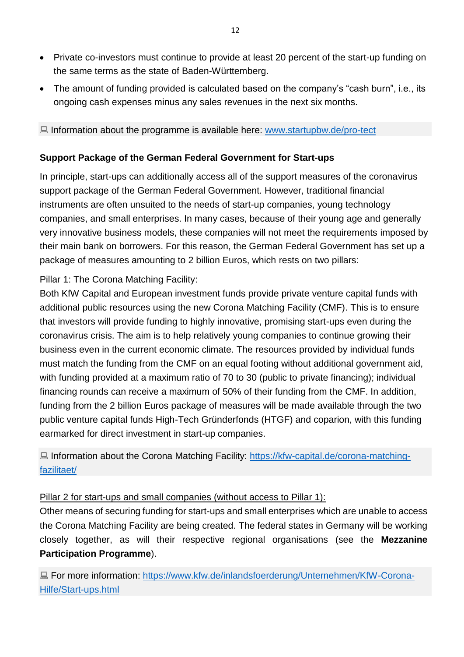- Private co-investors must continue to provide at least 20 percent of the start-up funding on the same terms as the state of Baden-Württemberg.
- The amount of funding provided is calculated based on the company's "cash burn", i.e., its ongoing cash expenses minus any sales revenues in the next six months.

■ Information about the programme is available here: [www.startupbw.de/pro-tect](http://www.startupbw.de/pro-tect)

### **Support Package of the German Federal Government for Start-ups**

In principle, start-ups can additionally access all of the support measures of the coronavirus support package of the German Federal Government. However, traditional financial instruments are often unsuited to the needs of start-up companies, young technology companies, and small enterprises. In many cases, because of their young age and generally very innovative business models, these companies will not meet the requirements imposed by their main bank on borrowers. For this reason, the German Federal Government has set up a package of measures amounting to 2 billion Euros, which rests on two pillars:

### Pillar 1: The Corona Matching Facility:

Both KfW Capital and European investment funds provide private venture capital funds with additional public resources using the new Corona Matching Facility (CMF). This is to ensure that investors will provide funding to highly innovative, promising start-ups even during the coronavirus crisis. The aim is to help relatively young companies to continue growing their business even in the current economic climate. The resources provided by individual funds must match the funding from the CMF on an equal footing without additional government aid, with funding provided at a maximum ratio of 70 to 30 (public to private financing); individual financing rounds can receive a maximum of 50% of their funding from the CMF. In addition, funding from the 2 billion Euros package of measures will be made available through the two public venture capital funds High-Tech Gründerfonds (HTGF) and coparion, with this funding earmarked for direct investment in start-up companies.

**■ Information about the Corona Matching Facility: [https://kfw-capital.de/corona-matching](https://kfw-capital.de/corona-matching-fazilitaet/)**[fazilitaet/](https://kfw-capital.de/corona-matching-fazilitaet/)

### Pillar 2 for start-ups and small companies (without access to Pillar 1):

Other means of securing funding for start-ups and small enterprises which are unable to access the Corona Matching Facility are being created. The federal states in Germany will be working closely together, as will their respective regional organisations (see the **Mezzanine Participation Programme**).

■ For more information: [https://www.kfw.de/inlandsfoerderung/Unternehmen/KfW-Corona-](https://www.kfw.de/inlandsfoerderung/Unternehmen/KfW-Corona-Hilfe/Start-ups.html)[Hilfe/Start-ups.html](https://www.kfw.de/inlandsfoerderung/Unternehmen/KfW-Corona-Hilfe/Start-ups.html)